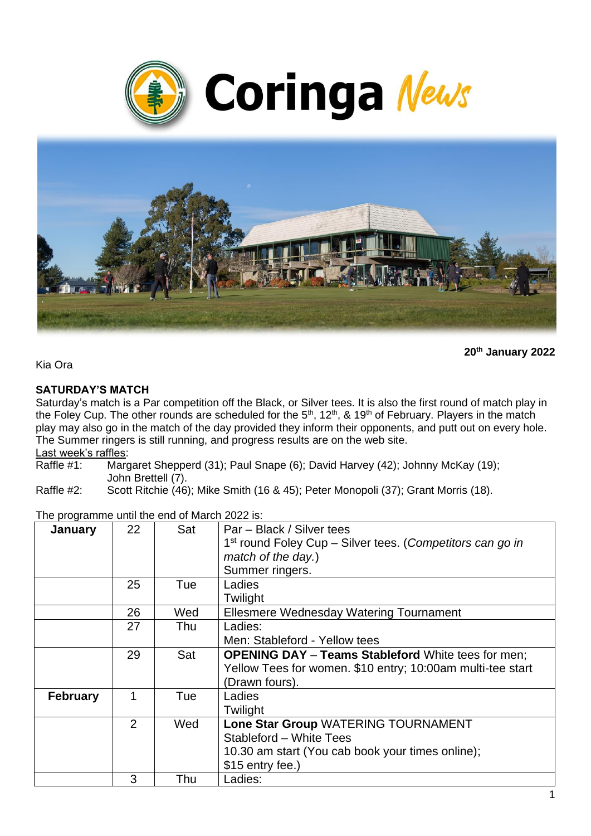



**20th January 2022**

Kia Ora

## **SATURDAY'S MATCH**

Saturday's match is a Par competition off the Black, or Silver tees. It is also the first round of match play in the Foley Cup. The other rounds are scheduled for the 5<sup>th</sup>, 12<sup>th</sup>, & 19<sup>th</sup> of February. Players in the match play may also go in the match of the day provided they inform their opponents, and putt out on every hole. The Summer ringers is still running, and progress results are on the web site.

Last week's raffles:<br>Raffle #1: Mard Margaret Shepperd (31); Paul Snape (6); David Harvey (42); Johnny McKay (19); John Brettell (7).

Raffle #2: Scott Ritchie (46); Mike Smith (16 & 45); Peter Monopoli (37); Grant Morris (18).

| January         | 22 | Sat | Par – Black / Silver tees                                             |  |  |
|-----------------|----|-----|-----------------------------------------------------------------------|--|--|
|                 |    |     | 1 <sup>st</sup> round Foley Cup – Silver tees. (Competitors can go in |  |  |
|                 |    |     | match of the day.)                                                    |  |  |
|                 |    |     | Summer ringers.                                                       |  |  |
|                 | 25 | Tue | Ladies                                                                |  |  |
|                 |    |     | Twilight                                                              |  |  |
|                 | 26 | Wed | Ellesmere Wednesday Watering Tournament                               |  |  |
|                 | 27 | Thu | Ladies:                                                               |  |  |
|                 |    |     | Men: Stableford - Yellow tees                                         |  |  |
|                 | 29 | Sat | <b>OPENING DAY - Teams Stableford White tees for men;</b>             |  |  |
|                 |    |     | Yellow Tees for women. \$10 entry; 10:00am multi-tee start            |  |  |
|                 |    |     | (Drawn fours).                                                        |  |  |
| <b>February</b> |    | Tue | Ladies                                                                |  |  |
|                 |    |     | Twilight                                                              |  |  |
|                 | 2  | Wed | Lone Star Group WATERING TOURNAMENT                                   |  |  |
|                 |    |     | Stableford - White Tees                                               |  |  |
|                 |    |     | 10.30 am start (You cab book your times online);                      |  |  |
|                 |    |     | \$15 entry fee.)                                                      |  |  |
|                 | 3  | Thu | Ladies:                                                               |  |  |

### The programme until the end of March 2022 is: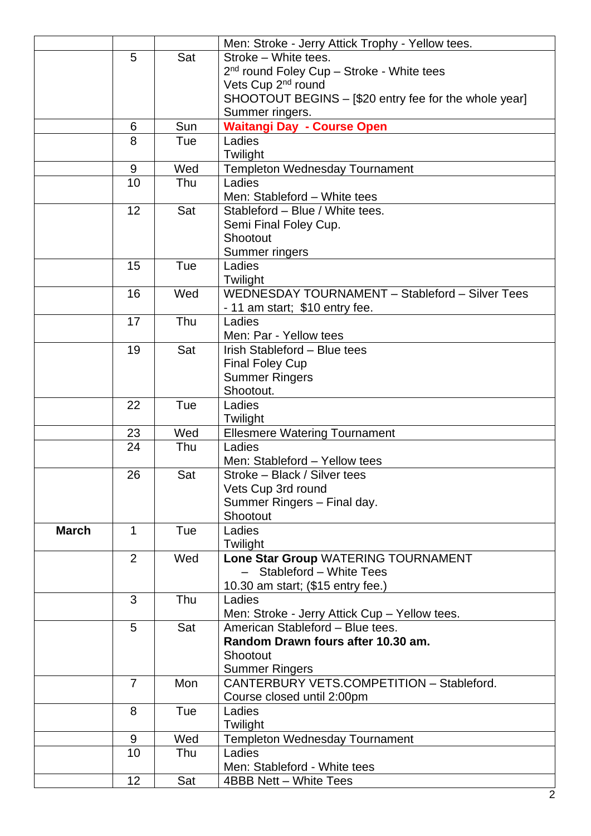|              |                  |     | Men: Stroke - Jerry Attick Trophy - Yellow tees.                                                                   |  |  |
|--------------|------------------|-----|--------------------------------------------------------------------------------------------------------------------|--|--|
|              | 5                | Sat | Stroke - White tees.                                                                                               |  |  |
|              |                  |     | 2 <sup>nd</sup> round Foley Cup - Stroke - White tees                                                              |  |  |
|              |                  |     | Vets Cup 2 <sup>nd</sup> round<br>SHOOTOUT BEGINS – [\$20 entry fee for the whole year]                            |  |  |
|              |                  |     |                                                                                                                    |  |  |
|              |                  |     | Summer ringers.                                                                                                    |  |  |
|              | 6                | Sun | <b>Waitangi Day - Course Open</b>                                                                                  |  |  |
|              | 8                | Tue | Ladies                                                                                                             |  |  |
|              |                  |     | Twilight                                                                                                           |  |  |
|              | 9                | Wed | <b>Templeton Wednesday Tournament</b>                                                                              |  |  |
|              | 10               | Thu | Ladies<br>Men: Stableford - White tees<br>Stableford - Blue / White tees.<br>Semi Final Foley Cup.                 |  |  |
|              |                  |     |                                                                                                                    |  |  |
|              | 12               | Sat |                                                                                                                    |  |  |
|              |                  |     |                                                                                                                    |  |  |
|              |                  |     | Shootout                                                                                                           |  |  |
|              |                  |     | Summer ringers                                                                                                     |  |  |
|              | 15               | Tue | Ladies                                                                                                             |  |  |
|              |                  |     | Twilight                                                                                                           |  |  |
|              | 16               | Wed | WEDNESDAY TOURNAMENT - Stableford - Silver Tees                                                                    |  |  |
|              |                  |     | - 11 am start; \$10 entry fee.                                                                                     |  |  |
|              | 17               | Thu | Ladies                                                                                                             |  |  |
|              |                  |     | Men: Par - Yellow tees                                                                                             |  |  |
| 19           |                  | Sat | Irish Stableford - Blue tees                                                                                       |  |  |
|              |                  |     | <b>Final Foley Cup</b>                                                                                             |  |  |
|              |                  |     | <b>Summer Ringers</b>                                                                                              |  |  |
|              |                  |     | Shootout.                                                                                                          |  |  |
|              | 22               | Tue | Ladies                                                                                                             |  |  |
|              | 23               | Wed | Twilight                                                                                                           |  |  |
|              | 24               | Thu | <b>Ellesmere Watering Tournament</b><br>Ladies                                                                     |  |  |
|              |                  |     |                                                                                                                    |  |  |
|              | 26               | Sat | Men: Stableford - Yellow tees<br>Stroke - Black / Silver tees<br>Vets Cup 3rd round<br>Summer Ringers - Final day. |  |  |
|              |                  |     |                                                                                                                    |  |  |
|              |                  |     |                                                                                                                    |  |  |
|              |                  |     | Shootout                                                                                                           |  |  |
| <b>March</b> | 1                | Tue | Ladies                                                                                                             |  |  |
|              |                  |     | Twilight                                                                                                           |  |  |
|              | $\overline{2}$   | Wed | Lone Star Group WATERING TOURNAMENT                                                                                |  |  |
|              |                  |     | Stableford - White Tees                                                                                            |  |  |
|              |                  |     | 10.30 am start; (\$15 entry fee.)                                                                                  |  |  |
|              | 3                | Thu | Ladies                                                                                                             |  |  |
|              |                  |     | Men: Stroke - Jerry Attick Cup - Yellow tees.                                                                      |  |  |
|              | 5                | Sat | American Stableford - Blue tees.                                                                                   |  |  |
|              |                  |     | Random Drawn fours after 10.30 am.                                                                                 |  |  |
|              |                  |     | Shootout                                                                                                           |  |  |
|              |                  |     | <b>Summer Ringers</b>                                                                                              |  |  |
|              | $\overline{7}$   | Mon | CANTERBURY VETS.COMPETITION - Stableford.                                                                          |  |  |
|              |                  |     | Course closed until 2:00pm                                                                                         |  |  |
|              | 8                | Tue | Ladies                                                                                                             |  |  |
|              |                  |     | Twilight                                                                                                           |  |  |
|              | $\boldsymbol{9}$ | Wed | <b>Templeton Wednesday Tournament</b>                                                                              |  |  |
|              | 10               | Thu | Ladies                                                                                                             |  |  |
|              |                  |     | Men: Stableford - White tees                                                                                       |  |  |
|              | 12               | Sat | 4BBB Nett - White Tees                                                                                             |  |  |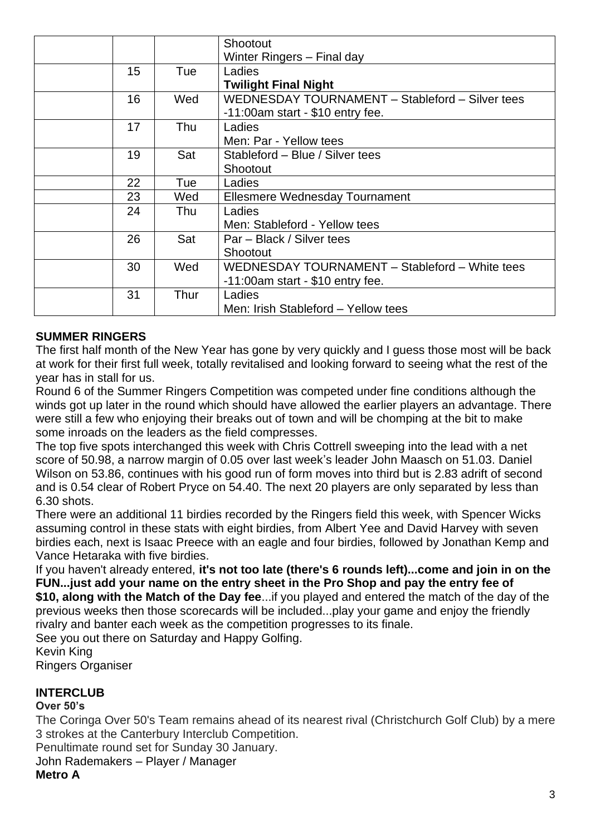|    |      | Shootout<br>Winter Ringers - Final day                                                 |
|----|------|----------------------------------------------------------------------------------------|
| 15 | Tue  | Ladies<br><b>Twilight Final Night</b>                                                  |
| 16 | Wed  | WEDNESDAY TOURNAMENT - Stableford - Silver tees<br>$-11:00$ am start - \$10 entry fee. |
| 17 | Thu  | Ladies<br>Men: Par - Yellow tees                                                       |
| 19 | Sat  | Stableford - Blue / Silver tees<br>Shootout                                            |
| 22 | Tue  | Ladies                                                                                 |
| 23 | Wed  | Ellesmere Wednesday Tournament                                                         |
| 24 | Thu  | Ladies<br>Men: Stableford - Yellow tees                                                |
| 26 | Sat  | Par - Black / Silver tees<br>Shootout                                                  |
| 30 | Wed  | WEDNESDAY TOURNAMENT - Stableford - White tees<br>$-11:00$ am start - \$10 entry fee.  |
| 31 | Thur | Ladies<br>Men: Irish Stableford - Yellow tees                                          |

# **SUMMER RINGERS**

The first half month of the New Year has gone by very quickly and I guess those most will be back at work for their first full week, totally revitalised and looking forward to seeing what the rest of the year has in stall for us.

Round 6 of the Summer Ringers Competition was competed under fine conditions although the winds got up later in the round which should have allowed the earlier players an advantage. There were still a few who enjoying their breaks out of town and will be chomping at the bit to make some inroads on the leaders as the field compresses.

The top five spots interchanged this week with Chris Cottrell sweeping into the lead with a net score of 50.98, a narrow margin of 0.05 over last week's leader John Maasch on 51.03. Daniel Wilson on 53.86, continues with his good run of form moves into third but is 2.83 adrift of second and is 0.54 clear of Robert Pryce on 54.40. The next 20 players are only separated by less than 6.30 shots.

There were an additional 11 birdies recorded by the Ringers field this week, with Spencer Wicks assuming control in these stats with eight birdies, from Albert Yee and David Harvey with seven birdies each, next is Isaac Preece with an eagle and four birdies, followed by Jonathan Kemp and Vance Hetaraka with five birdies.

If you haven't already entered, **it's not too late (there's 6 rounds left)...come and join in on the FUN...just add your name on the entry sheet in the Pro Shop and pay the entry fee of \$10, along with the Match of the Day fee**...if you played and entered the match of the day of the

previous weeks then those scorecards will be included...play your game and enjoy the friendly rivalry and banter each week as the competition progresses to its finale.

See you out there on Saturday and Happy Golfing.

Kevin King

Ringers Organiser

## **INTERCI UB**

## **Over 50's**

The Coringa Over 50's Team remains ahead of its nearest rival (Christchurch Golf Club) by a mere 3 strokes at the Canterbury Interclub Competition.

Penultimate round set for Sunday 30 January.

John Rademakers – Player / Manager

## **Metro A**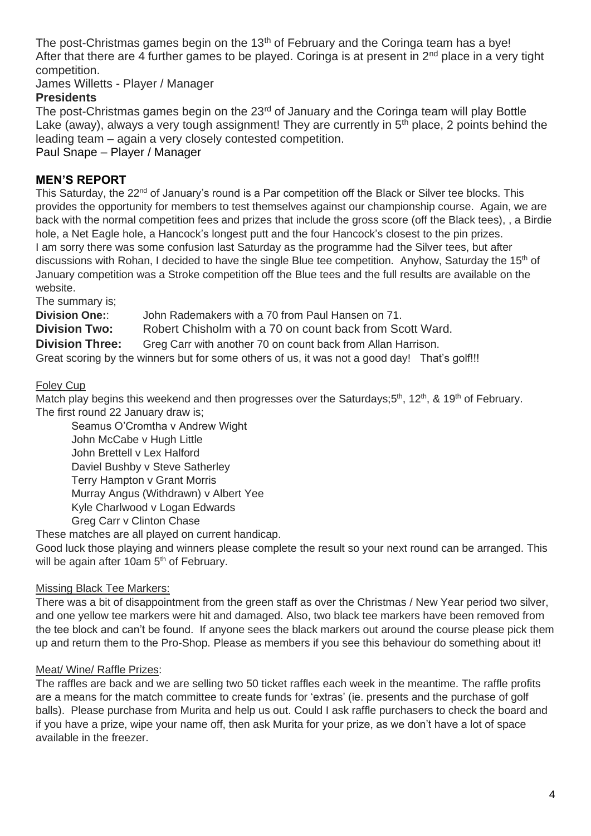The post-Christmas games begin on the 13<sup>th</sup> of February and the Coringa team has a bye! After that there are 4 further games to be played. Coringa is at present in  $2<sup>nd</sup>$  place in a very tight competition.

James Willetts - Player / Manager

## **Presidents**

The post-Christmas games begin on the 23<sup>rd</sup> of January and the Coringa team will play Bottle Lake (away), always a very tough assignment! They are currently in  $5<sup>th</sup>$  place, 2 points behind the leading team – again a very closely contested competition.

Paul Snape – Player / Manager

## **MEN'S REPORT**

This Saturday, the 22<sup>nd</sup> of January's round is a Par competition off the Black or Silver tee blocks. This provides the opportunity for members to test themselves against our championship course. Again, we are back with the normal competition fees and prizes that include the gross score (off the Black tees), , a Birdie hole, a Net Eagle hole, a Hancock's longest putt and the four Hancock's closest to the pin prizes. I am sorry there was some confusion last Saturday as the programme had the Silver tees, but after discussions with Rohan, I decided to have the single Blue tee competition. Anyhow, Saturday the  $15<sup>th</sup>$  of January competition was a Stroke competition off the Blue tees and the full results are available on the website.

The summary is;

**Division One:**: John Rademakers with a 70 from Paul Hansen on 71.

**Division Two:** Robert Chisholm with a 70 on count back from Scott Ward.

**Division Three:** Greg Carr with another 70 on count back from Allan Harrison.

Great scoring by the winners but for some others of us, it was not a good day! That's golf!!!

## Foley Cup

Match play begins this weekend and then progresses over the Saturdays;  $5<sup>th</sup>$ , 12<sup>th</sup>, & 19<sup>th</sup> of February. The first round 22 January draw is;

Seamus O'Cromtha v Andrew Wight John McCabe v Hugh Little John Brettell v Lex Halford Daviel Bushby v Steve Satherley Terry Hampton v Grant Morris Murray Angus (Withdrawn) v Albert Yee Kyle Charlwood v Logan Edwards Greg Carr v Clinton Chase

These matches are all played on current handicap.

Good luck those playing and winners please complete the result so your next round can be arranged. This will be again after 10am 5<sup>th</sup> of February.

## Missing Black Tee Markers:

There was a bit of disappointment from the green staff as over the Christmas / New Year period two silver, and one yellow tee markers were hit and damaged. Also, two black tee markers have been removed from the tee block and can't be found. If anyone sees the black markers out around the course please pick them up and return them to the Pro-Shop. Please as members if you see this behaviour do something about it!

## Meat/ Wine/ Raffle Prizes:

The raffles are back and we are selling two 50 ticket raffles each week in the meantime. The raffle profits are a means for the match committee to create funds for 'extras' (ie. presents and the purchase of golf balls). Please purchase from Murita and help us out. Could I ask raffle purchasers to check the board and if you have a prize, wipe your name off, then ask Murita for your prize, as we don't have a lot of space available in the freezer.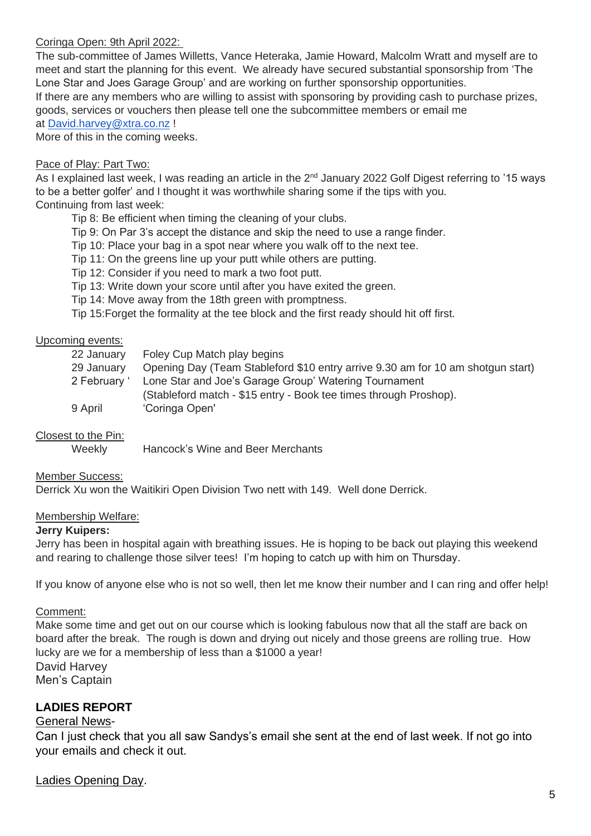### Coringa Open: 9th April 2022:

The sub-committee of James Willetts, Vance Heteraka, Jamie Howard, Malcolm Wratt and myself are to meet and start the planning for this event. We already have secured substantial sponsorship from 'The Lone Star and Joes Garage Group' and are working on further sponsorship opportunities. If there are any members who are willing to assist with sponsoring by providing cash to purchase prizes, goods, services or vouchers then please tell one the subcommittee members or email me at [David.harvey@xtra.co.nz](mailto:David.harvey@xtra.co.nz) !

More of this in the coming weeks.

### Pace of Play: Part Two:

As I explained last week, I was reading an article in the 2<sup>nd</sup> January 2022 Golf Digest referring to '15 ways to be a better golfer' and I thought it was worthwhile sharing some if the tips with you. Continuing from last week:

Tip 8: Be efficient when timing the cleaning of your clubs.

Tip 9: On Par 3's accept the distance and skip the need to use a range finder.

Tip 10: Place your bag in a spot near where you walk off to the next tee.

Tip 11: On the greens line up your putt while others are putting.

Tip 12: Consider if you need to mark a two foot putt.

Tip 13: Write down your score until after you have exited the green.

Tip 14: Move away from the 18th green with promptness.

Tip 15:Forget the formality at the tee block and the first ready should hit off first.

### Upcoming events:

| 22 January   | Foley Cup Match play begins                                                     |
|--------------|---------------------------------------------------------------------------------|
| 29 January   | Opening Day (Team Stableford \$10 entry arrive 9.30 am for 10 am shotgun start) |
| 2 February ' | Lone Star and Joe's Garage Group' Watering Tournament                           |
|              | (Stableford match - \$15 entry - Book tee times through Proshop).               |
| 9 April      | 'Coringa Open'                                                                  |

### Closest to the Pin:

Weekly Hancock's Wine and Beer Merchants

### Member Success:

Derrick Xu won the Waitikiri Open Division Two nett with 149. Well done Derrick.

#### Membership Welfare:

### **Jerry Kuipers:**

Jerry has been in hospital again with breathing issues. He is hoping to be back out playing this weekend and rearing to challenge those silver tees! I'm hoping to catch up with him on Thursday.

If you know of anyone else who is not so well, then let me know their number and I can ring and offer help!

#### Comment:

Make some time and get out on our course which is looking fabulous now that all the staff are back on board after the break. The rough is down and drying out nicely and those greens are rolling true. How lucky are we for a membership of less than a \$1000 a year! David Harvey Men's Captain

## **LADIES REPORT**

### General News-

Can I just check that you all saw Sandys's email she sent at the end of last week. If not go into your emails and check it out.

## Ladies Opening Day.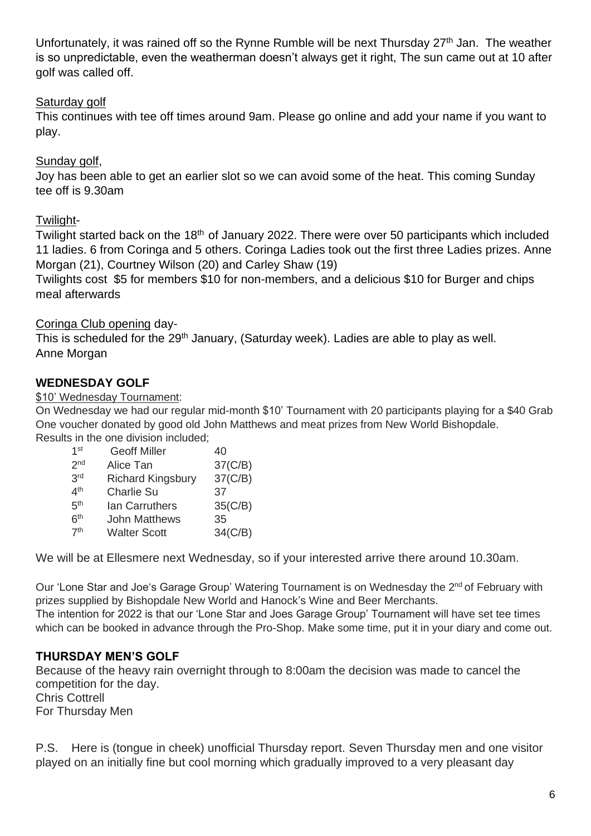Unfortunately, it was rained off so the Rynne Rumble will be next Thursday  $27<sup>th</sup>$  Jan. The weather is so unpredictable, even the weatherman doesn't always get it right, The sun came out at 10 after golf was called off.

# Saturday golf

This continues with tee off times around 9am. Please go online and add your name if you want to play.

# Sunday golf,

Joy has been able to get an earlier slot so we can avoid some of the heat. This coming Sunday tee off is 9.30am

# Twilight-

Twilight started back on the 18<sup>th</sup> of January 2022. There were over 50 participants which included 11 ladies. 6 from Coringa and 5 others. Coringa Ladies took out the first three Ladies prizes. Anne Morgan (21), Courtney Wilson (20) and Carley Shaw (19)

Twilights cost \$5 for members \$10 for non-members, and a delicious \$10 for Burger and chips meal afterwards

# Coringa Club opening day-

This is scheduled for the 29<sup>th</sup> January, (Saturday week). Ladies are able to play as well. Anne Morgan

# **WEDNESDAY GOLF**

## \$10' Wednesday Tournament:

On Wednesday we had our regular mid-month \$10' Tournament with 20 participants playing for a \$40 Grab One voucher donated by good old John Matthews and meat prizes from New World Bishopdale. Results in the one division included;

| 1 <sup>st</sup> | <b>Geoff Miller</b>      | 40      |
|-----------------|--------------------------|---------|
| 2 <sub>nd</sub> | Alice Tan                | 37(C/B) |
| 3 <sup>rd</sup> | <b>Richard Kingsbury</b> | 37(C/B) |
| 4 <sup>th</sup> | <b>Charlie Su</b>        | 37      |
| 5 <sup>th</sup> | <b>Ian Carruthers</b>    | 35(C/B) |
| 6 <sup>th</sup> | <b>John Matthews</b>     | 35      |
| 7 <sup>th</sup> | <b>Walter Scott</b>      | 34(C/B) |

We will be at Ellesmere next Wednesday, so if your interested arrive there around 10.30am.

Our 'Lone Star and Joe's Garage Group' Watering Tournament is on Wednesday the 2<sup>nd</sup> of February with prizes supplied by Bishopdale New World and Hanock's Wine and Beer Merchants. The intention for 2022 is that our 'Lone Star and Joes Garage Group' Tournament will have set tee times which can be booked in advance through the Pro-Shop. Make some time, put it in your diary and come out.

# **THURSDAY MEN'S GOLF**

Because of the heavy rain overnight through to 8:00am the decision was made to cancel the competition for the day.

Chris Cottrell For Thursday Men

P.S. Here is (tongue in cheek) unofficial Thursday report. Seven Thursday men and one visitor played on an initially fine but cool morning which gradually improved to a very pleasant day